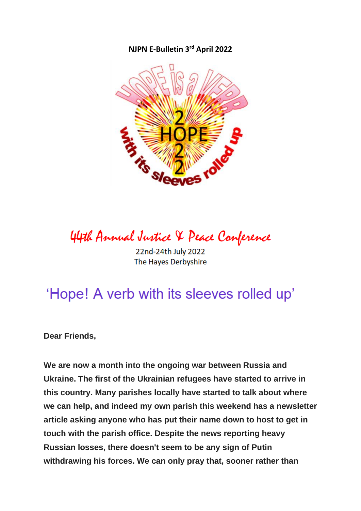#### **NJPN E-Bulletin 3 rd April 2022**



44th Annual Justice & Peace Conference

22nd-24th July 2022 The Hayes Derbyshire

# 'Hope! A verb with its sleeves rolled up'

**Dear Friends,**

**We are now a month into the ongoing war between Russia and Ukraine. The first of the Ukrainian refugees have started to arrive in this country. Many parishes locally have started to talk about where we can help, and indeed my own parish this weekend has a newsletter article asking anyone who has put their name down to host to get in touch with the parish office. Despite the news reporting heavy Russian losses, there doesn't seem to be any sign of Putin withdrawing his forces. We can only pray that, sooner rather than**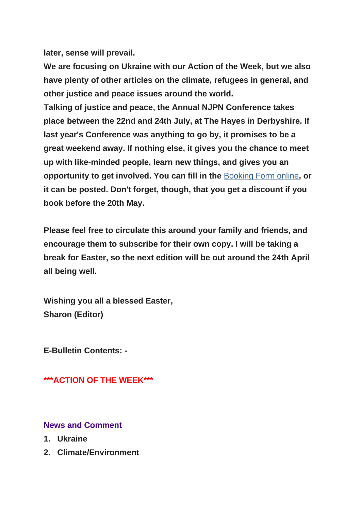**later, sense will prevail.**

**We are focusing on Ukraine with our Action of the Week, but we also have plenty of other articles on the climate, refugees in general, and other justice and peace issues around the world.**

**Talking of justice and peace, the Annual NJPN Conference takes place between the 22nd and 24th July, at The Hayes in Derbyshire. If last year's Conference was anything to go by, it promises to be a great weekend away. If nothing else, it gives you the chance to meet up with like-minded people, learn new things, and gives you an opportunity to get involved. You can fill in the** [Booking Form online](https://justice-and-peace.us7.list-manage.com/track/click?u=43dc262537b1536e87dc04eca&id=0f5a4a74aa&e=21ab98db78)**, or it can be posted. Don't forget, though, that you get a discount if you book before the 20th May.**

**Please feel free to circulate this around your family and friends, and encourage them to subscribe for their own copy. I will be taking a break for Easter, so the next edition will be out around the 24th April all being well.**

**Wishing you all a blessed Easter, Sharon (Editor)**

**E-Bulletin Contents: -**

**\*\*\*ACTION OF THE WEEK\*\*\***

### **News and Comment**

- **1. Ukraine**
- **2. Climate/Environment**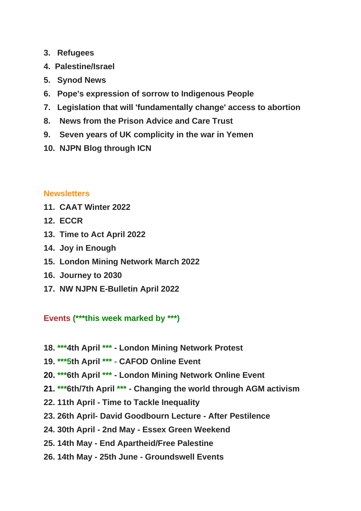- **3. Refugees**
- **4. Palestine/Israel**
- **5. Synod News**
- **6. Pope's expression of sorrow to Indigenous People**
- **7. Legislation that will 'fundamentally change' access to abortion**
- **8. News from the Prison Advice and Care Trust**
- **9. Seven years of UK complicity in the war in Yemen**
- **10. NJPN Blog through ICN**

### **Newsletters**

- **11. CAAT Winter 2022**
- **12. ECCR**
- **13. Time to Act April 2022**
- **14. Joy in Enough**
- **15. London Mining Network March 2022**
- **16. Journey to 2030**
- **17. NW NJPN E-Bulletin April 2022**

# **Events (\*\*\*this week marked by \*\*\*)**

- **18. \*\*\*4th April \*\*\* - London Mining Network Protest**
- **19. \*\*\*5th April \*\*\* - CAFOD Online Event**
- **20. \*\*\*6th April \*\*\* - London Mining Network Online Event**
- **21. \*\*\*6th/7th April \*\*\* - Changing the world through AGM activism**
- **22. 11th April - Time to Tackle Inequality**
- **23. 26th April- David Goodbourn Lecture - After Pestilence**
- **24. 30th April - 2nd May - Essex Green Weekend**
- **25. 14th May - End Apartheid/Free Palestine**
- **26. 14th May - 25th June - Groundswell Events**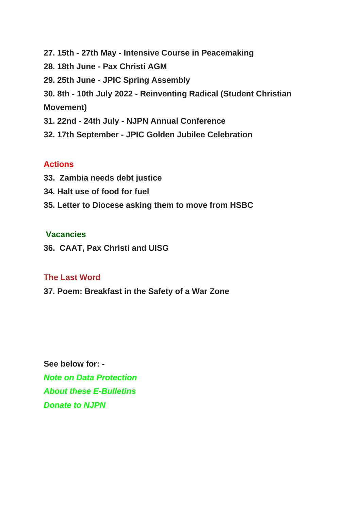**27. 15th - 27th May - Intensive Course in Peacemaking 28. 18th June - Pax Christi AGM 29. 25th June - JPIC Spring Assembly 30. 8th - 10th July 2022 - Reinventing Radical (Student Christian Movement) 31. 22nd - 24th July - NJPN Annual Conference 32. 17th September - JPIC Golden Jubilee Celebration**

### **Actions**

- **33. Zambia needs debt justice**
- **34. Halt use of food for fuel**
- **35. Letter to Diocese asking them to move from HSBC**

### **Vacancies**

**36. CAAT, Pax Christi and UISG**

### **The Last Word**

**37. Poem: Breakfast in the Safety of a War Zone**

**See below for: -** *Note on Data Protection About these E-Bulletins Donate to NJPN*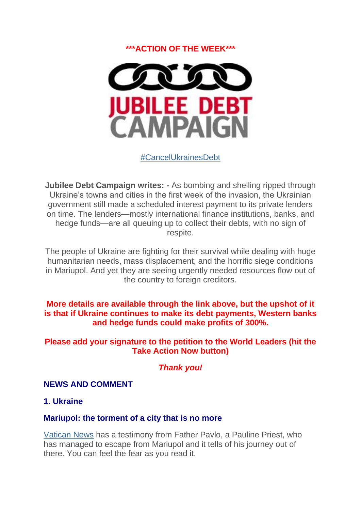### **\*\*\*ACTION OF THE WEEK\*\*\***



### [#CancelUkrainesDebt](https://justice-and-peace.us7.list-manage.com/track/click?u=43dc262537b1536e87dc04eca&id=0fc5185e55&e=21ab98db78)

**Jubilee Debt Campaign writes: -** As bombing and shelling ripped through Ukraine's towns and cities in the first week of the invasion, the Ukrainian government still made a scheduled interest payment to its private lenders on time. The lenders—mostly international finance institutions, banks, and hedge funds—are all queuing up to collect their debts, with no sign of respite.

The people of Ukraine are fighting for their survival while dealing with huge humanitarian needs, mass displacement, and the horrific siege conditions in Mariupol. And yet they are seeing urgently needed resources flow out of the country to foreign creditors.

#### **More details are available through the link above, but the upshot of it is that if Ukraine continues to make its debt payments, Western banks and hedge funds could make profits of 300%.**

#### **Please add your signature to the petition to the World Leaders (hit the Take Action Now button)**

### *Thank you!*

#### **NEWS AND COMMENT**

#### **1. Ukraine**

#### **Mariupol: the torment of a city that is no more**

[Vatican News](https://justice-and-peace.us7.list-manage.com/track/click?u=43dc262537b1536e87dc04eca&id=63a5c30990&e=21ab98db78) has a testimony from Father Pavlo, a Pauline Priest, who has managed to escape from Mariupol and it tells of his journey out of there. You can feel the fear as you read it.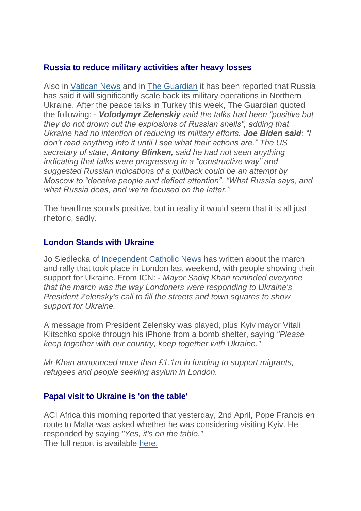### **Russia to reduce military activities after heavy losses**

Also in [Vatican News](https://justice-and-peace.us7.list-manage.com/track/click?u=43dc262537b1536e87dc04eca&id=8293312ec0&e=21ab98db78) and in [The Guardian](https://justice-and-peace.us7.list-manage.com/track/click?u=43dc262537b1536e87dc04eca&id=1ef7ea5102&e=21ab98db78) it has been reported that Russia has said it will significantly scale back its military operations in Northern Ukraine. After the peace talks in Turkey this week, The Guardian quoted the following: - *Volodymyr Zelenskiy said the talks had been "positive but they do not drown out the explosions of Russian shells", adding that Ukraine had no intention of reducing its military efforts. Joe Biden said: "I don't read anything into it until I see what their actions are." The US secretary of state, Antony Blinken, said he had not seen anything indicating that talks were progressing in a "constructive way" and suggested Russian indications of a pullback could be an attempt by Moscow to "deceive people and deflect attention". "What Russia says, and what Russia does, and we're focused on the latter."*

The headline sounds positive, but in reality it would seem that it is all just rhetoric, sadly.

### **London Stands with Ukraine**

Jo Siedlecka of [Independent Catholic News](https://justice-and-peace.us7.list-manage.com/track/click?u=43dc262537b1536e87dc04eca&id=dc7412afe6&e=21ab98db78) has written about the march and rally that took place in London last weekend, with people showing their support for Ukraine. From ICN: - *Mayor Sadiq Khan reminded everyone that the march was the way Londoners were responding to Ukraine's President Zelensky's call to fill the streets and town squares to show support for Ukraine.*

A message from President Zelensky was played, plus Kyiv mayor Vitali Klitschko spoke through his iPhone from a bomb shelter, saying *"Please keep together with our country, keep together with Ukraine."*

*Mr Khan announced more than £1.1m in funding to support migrants, refugees and people seeking asylum in London.*

### **Papal visit to Ukraine is 'on the table'**

ACI Africa this morning reported that yesterday, 2nd April, Pope Francis en route to Malta was asked whether he was considering visiting Kyiv. He responded by saying *"Yes, it's on the table."* The full report is available [here.](https://justice-and-peace.us7.list-manage.com/track/click?u=43dc262537b1536e87dc04eca&id=47a742a531&e=21ab98db78)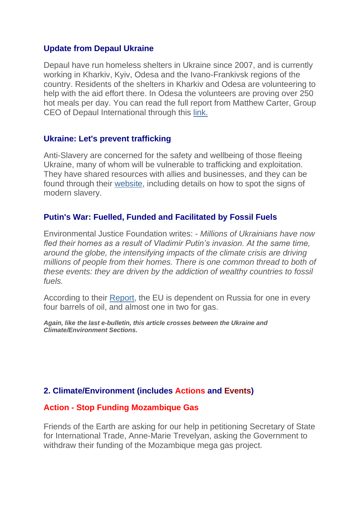#### **Update from Depaul Ukraine**

Depaul have run homeless shelters in Ukraine since 2007, and is currently working in Kharkiv, Kyiv, Odesa and the Ivano-Frankivsk regions of the country. Residents of the shelters in Kharkiv and Odesa are volunteering to help with the aid effort there. In Odesa the volunteers are proving over 250 hot meals per day. You can read the full report from Matthew Carter, Group CEO of Depaul International through this [link.](https://justice-and-peace.us7.list-manage.com/track/click?u=43dc262537b1536e87dc04eca&id=ca0456112d&e=21ab98db78)

#### **Ukraine: Let's prevent trafficking**

Anti-Slavery are concerned for the safety and wellbeing of those fleeing Ukraine, many of whom will be vulnerable to trafficking and exploitation. They have shared resources with allies and businesses, and they can be found through their [website,](https://justice-and-peace.us7.list-manage.com/track/click?u=43dc262537b1536e87dc04eca&id=ba515b22a3&e=21ab98db78) including details on how to spot the signs of modern slavery.

### **Putin's War: Fuelled, Funded and Facilitated by Fossil Fuels**

Environmental Justice Foundation writes: - *Millions of Ukrainians have now fled their homes as a result of Vladimir Putin's invasion. At the same time, around the globe, the intensifying impacts of the climate crisis are driving millions of people from their homes. There is one common thread to both of these events: they are driven by the addiction of wealthy countries to fossil fuels.*

According to their [Report,](https://justice-and-peace.us7.list-manage.com/track/click?u=43dc262537b1536e87dc04eca&id=07b409f69a&e=21ab98db78) the EU is dependent on Russia for one in every four barrels of oil, and almost one in two for gas.

*Again, like the last e-bulletin, this article crosses between the Ukraine and Climate/Environment Sections.*

### **2. Climate/Environment (includes Actions and Events)**

### **Action - Stop Funding Mozambique Gas**

Friends of the Earth are asking for our help in petitioning Secretary of State for International Trade, Anne-Marie Trevelyan, asking the Government to withdraw their funding of the Mozambique mega gas project.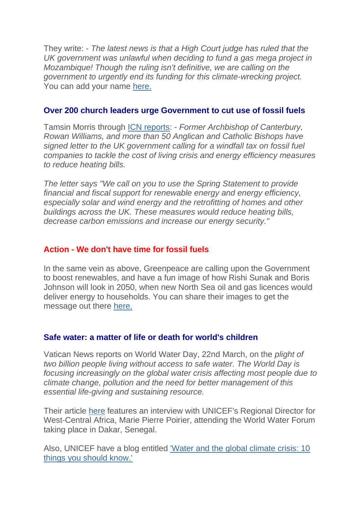They write: - *The latest news is that a High Court judge has ruled that the UK government was unlawful when deciding to fund a gas mega project in Mozambique! Though the ruling isn't definitive, we are calling on the government to urgently end its funding for this climate-wrecking project.* You can add your name [here.](https://justice-and-peace.us7.list-manage.com/track/click?u=43dc262537b1536e87dc04eca&id=f7aa2afda3&e=21ab98db78)

### **Over 200 church leaders urge Government to cut use of fossil fuels**

Tamsin Morris through [ICN reports:](https://justice-and-peace.us7.list-manage.com/track/click?u=43dc262537b1536e87dc04eca&id=c4c29cd41e&e=21ab98db78) - *Former Archbishop of Canterbury, Rowan Williams, and more than 50 Anglican and Catholic Bishops have signed letter to the UK government calling for a windfall tax on fossil fuel companies to tackle the cost of living crisis and energy efficiency measures to reduce heating bills.*

*The letter says "We call on you to use the Spring Statement to provide financial and fiscal support for renewable energy and energy efficiency, especially solar and wind energy and the retrofitting of homes and other buildings across the UK. These measures would reduce heating bills, decrease carbon emissions and increase our energy security."*

### **Action - We don't have time for fossil fuels**

In the same vein as above, Greenpeace are calling upon the Government to boost renewables, and have a fun image of how Rishi Sunak and Boris Johnson will look in 2050, when new North Sea oil and gas licences would deliver energy to households. You can share their images to get the message out there [here.](https://justice-and-peace.us7.list-manage.com/track/click?u=43dc262537b1536e87dc04eca&id=ccba45d29d&e=21ab98db78)

### **Safe water: a matter of life or death for world's children**

Vatican News reports on World Water Day, 22nd March, on the *plight of two billion people living without access to safe water. The World Day is focusing increasingly on the global water crisis affecting most people due to climate change, pollution and the need for better management of this essential life-giving and sustaining resource.*

Their article [here](https://justice-and-peace.us7.list-manage.com/track/click?u=43dc262537b1536e87dc04eca&id=22d5cf747d&e=21ab98db78) features an interview with UNICEF's Regional Director for West-Central Africa, Marie Pierre Poirier, attending the World Water Forum taking place in Dakar, Senegal.

Also, UNICEF have a blog entitled ['Water and the global climate crisis: 10](https://justice-and-peace.us7.list-manage.com/track/click?u=43dc262537b1536e87dc04eca&id=16b20d20ff&e=21ab98db78)  [things you should know.'](https://justice-and-peace.us7.list-manage.com/track/click?u=43dc262537b1536e87dc04eca&id=16b20d20ff&e=21ab98db78)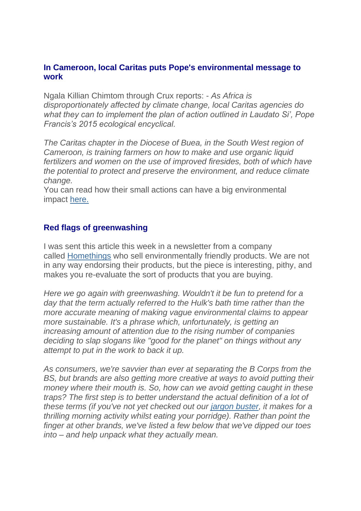#### **In Cameroon, local Caritas puts Pope's environmental message to work**

Ngala Killian Chimtom through Crux reports: - *As Africa is disproportionately affected by climate change, local Caritas agencies do what they can to implement the plan of action outlined in Laudato Si', Pope Francis's 2015 ecological encyclical.*

*The Caritas chapter in the Diocese of Buea, in the South West region of Cameroon, is training farmers on how to make and use organic liquid fertilizers and women on the use of improved firesides, both of which have the potential to protect and preserve the environment, and reduce climate change.*

You can read how their small actions can have a big environmental impact [here.](https://justice-and-peace.us7.list-manage.com/track/click?u=43dc262537b1536e87dc04eca&id=293652124b&e=21ab98db78)

### **Red flags of greenwashing**

I was sent this article this week in a newsletter from a company called [Homethings](https://justice-and-peace.us7.list-manage.com/track/click?u=43dc262537b1536e87dc04eca&id=7db6a100b3&e=21ab98db78) who sell environmentally friendly products. We are not in any way endorsing their products, but the piece is interesting, pithy, and makes you re-evaluate the sort of products that you are buying.

*Here we go again with greenwashing. Wouldn't it be fun to pretend for a day that the term actually referred to the Hulk's bath time rather than the more accurate meaning of making vague environmental claims to appear more sustainable. It's a phrase which, unfortunately, is getting an increasing amount of attention due to the rising number of companies deciding to slap slogans like "good for the planet" on things without any attempt to put in the work to back it up.*

*As consumers, we're savvier than ever at separating the B Corps from the BS, but brands are also getting more creative at ways to avoid putting their money where their mouth is. So, how can we avoid getting caught in these traps? The first step is to better understand the actual definition of a lot of these terms (if you've not yet checked out our [jargon buster,](https://justice-and-peace.us7.list-manage.com/track/click?u=43dc262537b1536e87dc04eca&id=5ee47d807f&e=21ab98db78) it makes for a thrilling morning activity whilst eating your porridge). Rather than point the finger at other brands, we've listed a few below that we've dipped our toes into – and help unpack what they actually mean.*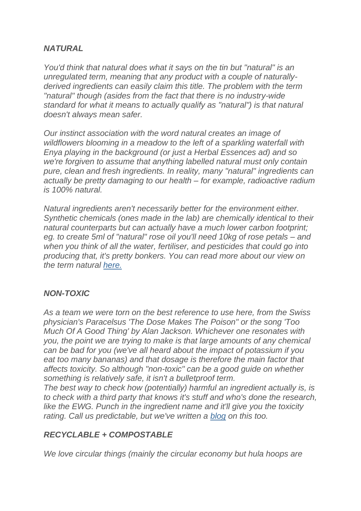### *NATURAL*

*You'd think that natural does what it says on the tin but "natural" is an unregulated term, meaning that any product with a couple of naturallyderived ingredients can easily claim this title. The problem with the term "natural" though (asides from the fact that there is no industry-wide standard for what it means to actually qualify as "natural") is that natural doesn't always mean safer.*

*Our instinct association with the word natural creates an image of wildflowers blooming in a meadow to the left of a sparkling waterfall with Enya playing in the background (or just a Herbal Essences ad) and so we're forgiven to assume that anything labelled natural must only contain pure, clean and fresh ingredients. In reality, many "natural" ingredients can actually be pretty damaging to our health – for example, radioactive radium is 100% natural.*

*Natural ingredients aren't necessarily better for the environment either. Synthetic chemicals (ones made in the lab) are chemically identical to their natural counterparts but can actually have a much lower carbon footprint; eg. to create 5ml of "natural" rose oil you'll need 10kg of rose petals – and when you think of all the water, fertiliser, and pesticides that could go into producing that, it's pretty bonkers. You can read more about our view on the term natural [here.](https://justice-and-peace.us7.list-manage.com/track/click?u=43dc262537b1536e87dc04eca&id=204f766ba2&e=21ab98db78)*

### *NON-TOXIC*

*As a team we were torn on the best reference to use here, from the Swiss physician's Paracelsus 'The Dose Makes The Poison" or the song 'Too Much Of A Good Thing' by Alan Jackson. Whichever one resonates with you, the point we are trying to make is that large amounts of any chemical can be bad for you (we've all heard about the impact of potassium if you eat too many bananas) and that dosage is therefore the main factor that affects toxicity. So although "non-toxic" can be a good guide on whether something is relatively safe, it isn't a bulletproof term.*

*The best way to check how (potentially) harmful an ingredient actually is, is to check with a third party that knows it's stuff and who's done the research, like the EWG. Punch in the ingredient name and it'll give you the toxicity rating. Call us predictable, but we've written a [blog](https://justice-and-peace.us7.list-manage.com/track/click?u=43dc262537b1536e87dc04eca&id=60f47f2e6c&e=21ab98db78) on this too.*

### *RECYCLABLE + COMPOSTABLE*

*We love circular things (mainly the circular economy but hula hoops are*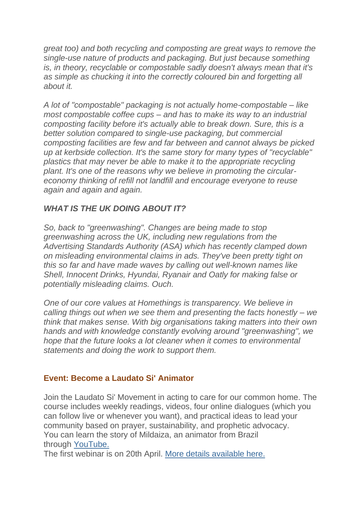*great too) and both recycling and composting are great ways to remove the single-use nature of products and packaging. But just because something is, in theory, recyclable or compostable sadly doesn't always mean that it's as simple as chucking it into the correctly coloured bin and forgetting all about it.*

*A lot of "compostable" packaging is not actually home-compostable – like most compostable coffee cups – and has to make its way to an industrial composting facility before it's actually able to break down. Sure, this is a better solution compared to single-use packaging, but commercial composting facilities are few and far between and cannot always be picked up at kerbside collection. It's the same story for many types of "recyclable" plastics that may never be able to make it to the appropriate recycling plant. It's one of the reasons why we believe in promoting the circulareconomy thinking of refill not landfill and encourage everyone to reuse again and again and again.*

### *WHAT IS THE UK DOING ABOUT IT?*

*So, back to "greenwashing". Changes are being made to stop greenwashing across the UK, including new regulations from the Advertising Standards Authority (ASA) which has recently clamped down on misleading environmental claims in ads. They've been pretty tight on this so far and have made waves by calling out well-known names like Shell, Innocent Drinks, Hyundai, Ryanair and Oatly for making false or potentially misleading claims. Ouch.*

*One of our core values at Homethings is transparency. We believe in calling things out when we see them and presenting the facts honestly – we think that makes sense. With big organisations taking matters into their own hands and with knowledge constantly evolving around "greenwashing", we hope that the future looks a lot cleaner when it comes to environmental statements and doing the work to support them.*

### **Event: Become a Laudato Si' Animator**

Join the Laudato Si' Movement in acting to care for our common home. The course includes weekly readings, videos, four online dialogues (which you can follow live or whenever you want), and practical ideas to lead your community based on prayer, sustainability, and prophetic advocacy. You can learn the story of Mildaiza, an animator from Brazil through [YouTube.](https://justice-and-peace.us7.list-manage.com/track/click?u=43dc262537b1536e87dc04eca&id=22b298d023&e=21ab98db78)

The first webinar is on 20th April. [More details available here.](https://justice-and-peace.us7.list-manage.com/track/click?u=43dc262537b1536e87dc04eca&id=16faa8bd59&e=21ab98db78)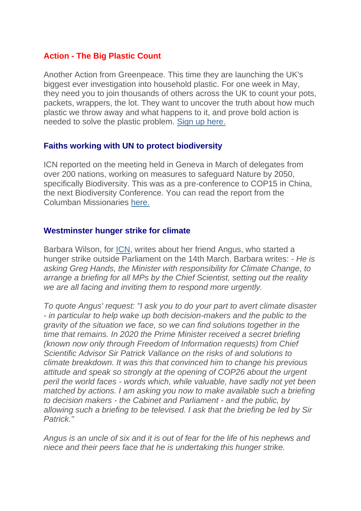### **Action - The Big Plastic Count**

Another Action from Greenpeace. This time they are launching the UK's biggest ever investigation into household plastic. For one week in May, they need you to join thousands of others across the UK to count your pots, packets, wrappers, the lot. They want to uncover the truth about how much plastic we throw away and what happens to it, and prove bold action is needed to solve the plastic problem. [Sign up here.](https://justice-and-peace.us7.list-manage.com/track/click?u=43dc262537b1536e87dc04eca&id=b6be71acd9&e=21ab98db78)

### **Faiths working with UN to protect biodiversity**

ICN reported on the meeting held in Geneva in March of delegates from over 200 nations, working on measures to safeguard Nature by 2050, specifically Biodiversity. This was as a pre-conference to COP15 in China, the next Biodiversity Conference. You can read the report from the Columban Missionaries [here.](https://justice-and-peace.us7.list-manage.com/track/click?u=43dc262537b1536e87dc04eca&id=5db1631737&e=21ab98db78)

### **Westminster hunger strike for climate**

Barbara Wilson, for [ICN,](https://justice-and-peace.us7.list-manage.com/track/click?u=43dc262537b1536e87dc04eca&id=4ace48831e&e=21ab98db78) writes about her friend Angus, who started a hunger strike outside Parliament on the 14th March. Barbara writes: - *He is asking Greg Hands, the Minister with responsibility for Climate Change, to arrange a briefing for all MPs by the Chief Scientist, setting out the reality we are all facing and inviting them to respond more urgently.*

*To quote Angus' request: "I ask you to do your part to avert climate disaster - in particular to help wake up both decision-makers and the public to the gravity of the situation we face, so we can find solutions together in the time that remains. In 2020 the Prime Minister received a secret briefing (known now only through Freedom of Information requests) from Chief Scientific Advisor Sir Patrick Vallance on the risks of and solutions to climate breakdown. It was this that convinced him to change his previous attitude and speak so strongly at the opening of COP26 about the urgent peril the world faces - words which, while valuable, have sadly not yet been matched by actions. I am asking you now to make available such a briefing to decision makers - the Cabinet and Parliament - and the public, by allowing such a briefing to be televised. I ask that the briefing be led by Sir Patrick."*

*Angus is an uncle of six and it is out of fear for the life of his nephews and niece and their peers face that he is undertaking this hunger strike.*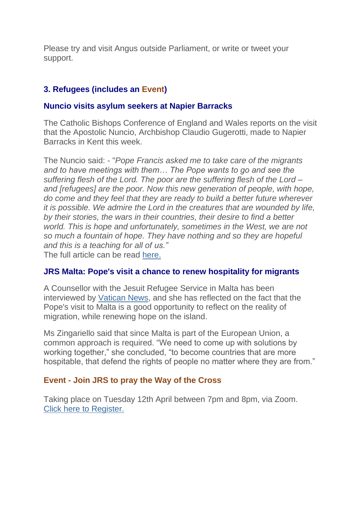Please try and visit Angus outside Parliament, or write or tweet your support.

### **3. Refugees (includes an Event)**

### **Nuncio visits asylum seekers at Napier Barracks**

The Catholic Bishops Conference of England and Wales reports on the visit that the Apostolic Nuncio, Archbishop Claudio Gugerotti, made to Napier Barracks in Kent this week.

The Nuncio said: - "*Pope Francis asked me to take care of the migrants and to have meetings with them… The Pope wants to go and see the suffering flesh of the Lord. The poor are the suffering flesh of the Lord – and [refugees] are the poor. Now this new generation of people, with hope, do come and they feel that they are ready to build a better future wherever it is possible. We admire the Lord in the creatures that are wounded by life, by their stories, the wars in their countries, their desire to find a better world. This is hope and unfortunately, sometimes in the West, we are not so much a fountain of hope. They have nothing and so they are hopeful and this is a teaching for all of us."* The full article can be read [here.](https://justice-and-peace.us7.list-manage.com/track/click?u=43dc262537b1536e87dc04eca&id=7353d1fa34&e=21ab98db78)

### **JRS Malta: Pope's visit a chance to renew hospitality for migrants**

A Counsellor with the Jesuit Refugee Service in Malta has been interviewed by [Vatican News,](https://justice-and-peace.us7.list-manage.com/track/click?u=43dc262537b1536e87dc04eca&id=3f2740ff9c&e=21ab98db78) and she has reflected on the fact that the Pope's visit to Malta is a good opportunity to reflect on the reality of migration, while renewing hope on the island.

Ms Zingariello said that since Malta is part of the European Union, a common approach is required. "We need to come up with solutions by working together," she concluded, "to become countries that are more hospitable, that defend the rights of people no matter where they are from."

### **Event - Join JRS to pray the Way of the Cross**

Taking place on Tuesday 12th April between 7pm and 8pm, via Zoom. [Click here to Register.](https://justice-and-peace.us7.list-manage.com/track/click?u=43dc262537b1536e87dc04eca&id=825a4f4d12&e=21ab98db78)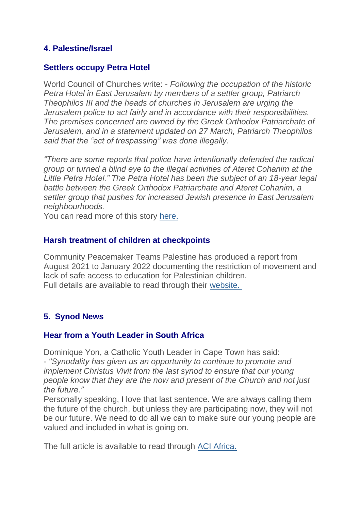### **4. Palestine/Israel**

#### **Settlers occupy Petra Hotel**

World Council of Churches write: - *Following the occupation of the historic Petra Hotel in East Jerusalem by members of a settler group, Patriarch Theophilos III and the heads of churches in Jerusalem are urging the Jerusalem police to act fairly and in accordance with their responsibilities. The premises concerned are owned by the Greek Orthodox Patriarchate of Jerusalem, and in a statement updated on 27 March, Patriarch Theophilos said that the "act of trespassing" was done illegally.*

*"There are some reports that police have intentionally defended the radical group or turned a blind eye to the illegal activities of Ateret Cohanim at the Little Petra Hotel." The Petra Hotel has been the subject of an 18-year legal battle between the Greek Orthodox Patriarchate and Ateret Cohanim, a settler group that pushes for increased Jewish presence in East Jerusalem neighbourhoods.*

You can read more of this story [here.](https://justice-and-peace.us7.list-manage.com/track/click?u=43dc262537b1536e87dc04eca&id=d561ce285d&e=21ab98db78)

#### **Harsh treatment of children at checkpoints**

Community Peacemaker Teams Palestine has produced a report from August 2021 to January 2022 documenting the restriction of movement and lack of safe access to education for Palestinian children. Full details are available to read through their [website.](https://justice-and-peace.us7.list-manage.com/track/click?u=43dc262537b1536e87dc04eca&id=5a2dba6bf5&e=21ab98db78)

### **5. Synod News**

#### **Hear from a Youth Leader in South Africa**

Dominique Yon, a Catholic Youth Leader in Cape Town has said: - *"Synodality has given us an opportunity to continue to promote and implement Christus Vivit from the last synod to ensure that our young people know that they are the now and present of the Church and not just the future."*

Personally speaking, I love that last sentence. We are always calling them the future of the church, but unless they are participating now, they will not be our future. We need to do all we can to make sure our young people are valued and included in what is going on.

The full article is available to read through [ACI Africa.](https://justice-and-peace.us7.list-manage.com/track/click?u=43dc262537b1536e87dc04eca&id=bd6826d61a&e=21ab98db78)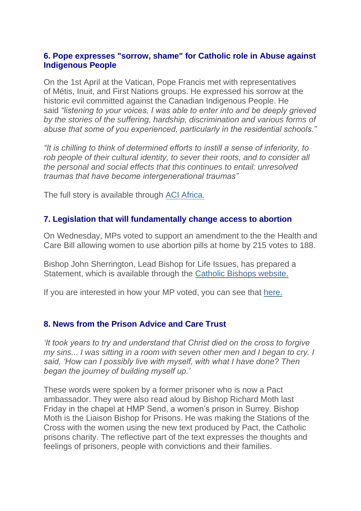### **6. Pope expresses "sorrow, shame" for Catholic role in Abuse against Indigenous People**

On the 1st April at the Vatican, Pope Francis met with representatives of Métis, Inuit, and First Nations groups. He expressed his sorrow at the historic evil committed against the Canadian Indigenous People. He said *"listening to your voices, I was able to enter into and be deeply grieved by the stories of the suffering, hardship, discrimination and various forms of abuse that some of you experienced, particularly in the residential schools."*

*"It is chilling to think of determined efforts to instill a sense of inferiority, to rob people of their cultural identity, to sever their roots, and to consider all the personal and social effects that this continues to entail: unresolved traumas that have become intergenerational traumas"*

The full story is available through [ACI Africa.](https://justice-and-peace.us7.list-manage.com/track/click?u=43dc262537b1536e87dc04eca&id=99c72dd11c&e=21ab98db78)

### **7. Legislation that will fundamentally change access to abortion**

On Wednesday, MPs voted to support an amendment to the the Health and Care Bill allowing women to use abortion pills at home by 215 votes to 188.

Bishop John Sherrington, Lead Bishop for Life Issues, has prepared a Statement, which is available through the [Catholic Bishops website.](https://justice-and-peace.us7.list-manage.com/track/click?u=43dc262537b1536e87dc04eca&id=5081f6f7d2&e=21ab98db78)

If you are interested in how your MP voted, you can see that [here.](https://justice-and-peace.us7.list-manage.com/track/click?u=43dc262537b1536e87dc04eca&id=32d89b3008&e=21ab98db78)

### **8. News from the Prison Advice and Care Trust**

*'It took years to try and understand that Christ died on the cross to forgive my sins... I was sitting in a room with seven other men and I began to cry. I said, 'How can I possibly live with myself, with what I have done? Then began the journey of building myself up.'*

These words were spoken by a former prisoner who is now a Pact ambassador. They were also read aloud by Bishop Richard Moth last Friday in the chapel at HMP Send, a women's prison in Surrey. Bishop Moth is the Liaison Bishop for Prisons. He was making the Stations of the Cross with the women using the new text produced by Pact, the Catholic prisons charity. The reflective part of the text expresses the thoughts and feelings of prisoners, people with convictions and their families.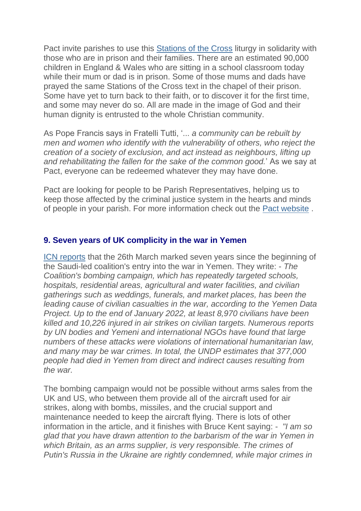Pact invite parishes to use this [Stations of the Cross](https://justice-and-peace.us7.list-manage.com/track/click?u=43dc262537b1536e87dc04eca&id=b4fae90a34&e=21ab98db78) liturgy in solidarity with those who are in prison and their families. There are an estimated 90,000 children in England & Wales who are sitting in a school classroom today while their mum or dad is in prison. Some of those mums and dads have prayed the same Stations of the Cross text in the chapel of their prison. Some have yet to turn back to their faith, or to discover it for the first time, and some may never do so. All are made in the image of God and their human dignity is entrusted to the whole Christian community.

As Pope Francis says in Fratelli Tutti, '... *a community can be rebuilt by men and women who identify with the vulnerability of others, who reject the creation of a society of exclusion, and act instead as neighbours, lifting up and rehabilitating the fallen for the sake of the common good.*' As we say at Pact, everyone can be redeemed whatever they may have done.

Pact are looking for people to be Parish Representatives, helping us to keep those affected by the criminal justice system in the hearts and minds of people in your parish. For more information check out the [Pact website](https://justice-and-peace.us7.list-manage.com/track/click?u=43dc262537b1536e87dc04eca&id=498ec6184c&e=21ab98db78) .

### **9. Seven years of UK complicity in the war in Yemen**

[ICN reports](https://justice-and-peace.us7.list-manage.com/track/click?u=43dc262537b1536e87dc04eca&id=181dd2e87b&e=21ab98db78) that the 26th March marked seven years since the beginning of the Saudi-led coalition's entry into the war in Yemen. They write: - *The Coalition's bombing campaign, which has repeatedly targeted schools, hospitals, residential areas, agricultural and water facilities, and civilian gatherings such as weddings, funerals, and market places, has been the leading cause of civilian casualties in the war, according to the Yemen Data Project. Up to the end of January 2022, at least 8,970 civilians have been killed and 10,226 injured in air strikes on civilian targets. Numerous reports by UN bodies and Yemeni and international NGOs have found that large numbers of these attacks were violations of international humanitarian law, and many may be war crimes. In total, the UNDP estimates that 377,000 people had died in Yemen from direct and indirect causes resulting from the war.*

The bombing campaign would not be possible without arms sales from the UK and US, who between them provide all of the aircraft used for air strikes, along with bombs, missiles, and the crucial support and maintenance needed to keep the aircraft flying. There is lots of other information in the article, and it finishes with Bruce Kent saying: - *"I am so glad that you have drawn attention to the barbarism of the war in Yemen in which Britain, as an arms supplier, is very responsible. The crimes of Putin's Russia in the Ukraine are rightly condemned, while major crimes in*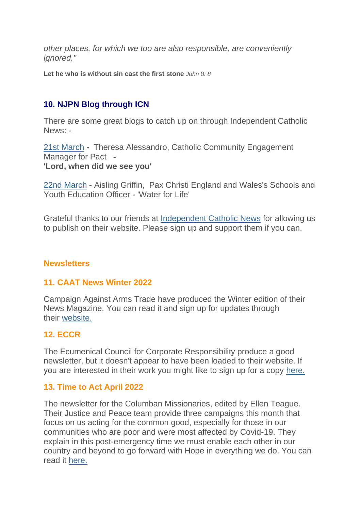*other places, for which we too are also responsible, are conveniently ignored."*

**Let he who is without sin cast the first stone** *John 8: 8*

### **10. NJPN Blog through ICN**

There are some great blogs to catch up on through Independent Catholic News: -

[21st March](https://justice-and-peace.us7.list-manage.com/track/click?u=43dc262537b1536e87dc04eca&id=bf3017b475&e=21ab98db78) **-** Theresa Alessandro, Catholic Community Engagement Manager for Pact **- 'Lord, when did we see you'**

[22nd March](https://justice-and-peace.us7.list-manage.com/track/click?u=43dc262537b1536e87dc04eca&id=67ef33cf6e&e=21ab98db78) **-** Aisling Griffin, Pax Christi England and Wales's Schools and Youth Education Officer - 'Water for Life'

Grateful thanks to our friends at [Independent Catholic News](https://justice-and-peace.us7.list-manage.com/track/click?u=43dc262537b1536e87dc04eca&id=d428025dbf&e=21ab98db78) for allowing us to publish on their website. Please sign up and support them if you can.

### **Newsletters**

#### **11. CAAT News Winter 2022**

Campaign Against Arms Trade have produced the Winter edition of their News Magazine. You can read it and sign up for updates through their [website.](https://justice-and-peace.us7.list-manage.com/track/click?u=43dc262537b1536e87dc04eca&id=50db2ed83a&e=21ab98db78)

#### **12. ECCR**

The Ecumenical Council for Corporate Responsibility produce a good newsletter, but it doesn't appear to have been loaded to their website. If you are interested in their work you might like to sign up for a copy [here.](https://justice-and-peace.us7.list-manage.com/track/click?u=43dc262537b1536e87dc04eca&id=ff9b656584&e=21ab98db78)

#### **13. Time to Act April 2022**

The newsletter for the Columban Missionaries, edited by Ellen Teague. Their Justice and Peace team provide three campaigns this month that focus on us acting for the common good, especially for those in our communities who are poor and were most affected by Covid-19. They explain in this post-emergency time we must enable each other in our country and beyond to go forward with Hope in everything we do. You can read it [here.](https://justice-and-peace.us7.list-manage.com/track/click?u=43dc262537b1536e87dc04eca&id=a41d53318d&e=21ab98db78)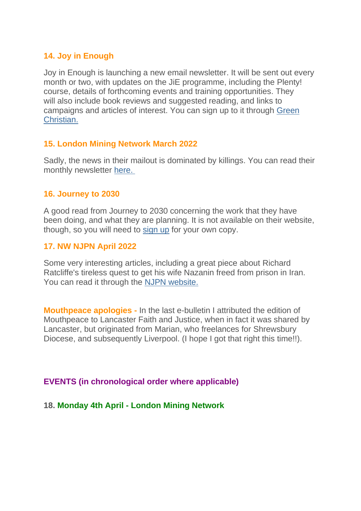### **14. Joy in Enough**

Joy in Enough is launching a new email newsletter. It will be sent out every month or two, with updates on the JiE programme, including the Plenty! course, details of forthcoming events and training opportunities. They will also include book reviews and suggested reading, and links to campaigns and articles of interest. You can sign up to it through [Green](https://justice-and-peace.us7.list-manage.com/track/click?u=43dc262537b1536e87dc04eca&id=92a82fbba1&e=21ab98db78)  [Christian.](https://justice-and-peace.us7.list-manage.com/track/click?u=43dc262537b1536e87dc04eca&id=92a82fbba1&e=21ab98db78)

### **15. London Mining Network March 2022**

Sadly, the news in their mailout is dominated by killings. You can read their monthly newsletter [here.](https://justice-and-peace.us7.list-manage.com/track/click?u=43dc262537b1536e87dc04eca&id=b8dcaab985&e=21ab98db78)

#### **16. Journey to 2030**

A good read from Journey to 2030 concerning the work that they have been doing, and what they are planning. It is not available on their website, though, so you will need to [sign up](https://justice-and-peace.us7.list-manage.com/track/click?u=43dc262537b1536e87dc04eca&id=45bb630504&e=21ab98db78) for your own copy.

### **17. NW NJPN April 2022**

Some very interesting articles, including a great piece about Richard Ratcliffe's tireless quest to get his wife Nazanin freed from prison in Iran. You can read it through the [NJPN website.](https://justice-and-peace.us7.list-manage.com/track/click?u=43dc262537b1536e87dc04eca&id=0bb04bd720&e=21ab98db78)

**Mouthpeace apologies -** In the last e-bulletin I attributed the edition of Mouthpeace to Lancaster Faith and Justice, when in fact it was shared by Lancaster, but originated from Marian, who freelances for Shrewsbury Diocese, and subsequently Liverpool. (I hope I got that right this time!!).

### **EVENTS (in chronological order where applicable)**

### **18. Monday 4th April - London Mining Network**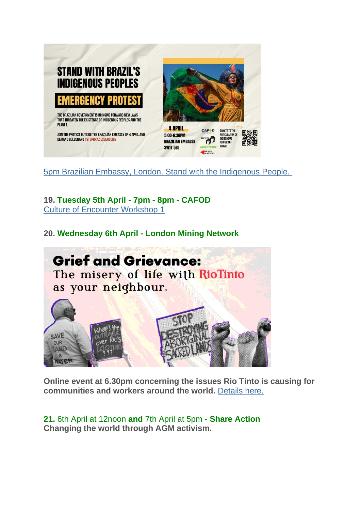

[5pm Brazilian Embassy, London. Stand with the Indigenous People.](https://justice-and-peace.us7.list-manage.com/track/click?u=43dc262537b1536e87dc04eca&id=a1a7eb5907&e=21ab98db78)

**19. Tuesday 5th April - 7pm - 8pm - CAFOD** [Culture of Encounter Workshop 1](https://justice-and-peace.us7.list-manage.com/track/click?u=43dc262537b1536e87dc04eca&id=9bbfd3efb5&e=21ab98db78)

**20. Wednesday 6th April - London Mining Network**



**Online event at 6.30pm concerning the issues Rio Tinto is causing for communities and workers around the world.** [Details here.](https://justice-and-peace.us7.list-manage.com/track/click?u=43dc262537b1536e87dc04eca&id=d545d0f948&e=21ab98db78)

**21.** [6th April at 12noon](https://justice-and-peace.us7.list-manage.com/track/click?u=43dc262537b1536e87dc04eca&id=424ca8b4cd&e=21ab98db78) **and** [7th April at 5pm](https://justice-and-peace.us7.list-manage.com/track/click?u=43dc262537b1536e87dc04eca&id=91ecfa1ddf&e=21ab98db78) **- Share Action Changing the world through AGM activism.**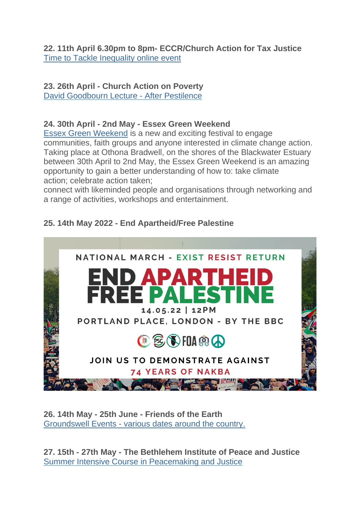**22. 11th April 6.30pm to 8pm- ECCR/Church Action for Tax Justice** [Time to Tackle Inequality online event](https://justice-and-peace.us7.list-manage.com/track/click?u=43dc262537b1536e87dc04eca&id=a23c747db1&e=21ab98db78)

# **23. 26th April - Church Action on Poverty**

[David Goodbourn Lecture -](https://justice-and-peace.us7.list-manage.com/track/click?u=43dc262537b1536e87dc04eca&id=880d1f16a9&e=21ab98db78) After Pestilence

# **24. 30th April - 2nd May - Essex Green Weekend**

[Essex Green Weekend](https://justice-and-peace.us7.list-manage.com/track/click?u=43dc262537b1536e87dc04eca&id=9581b617ad&e=21ab98db78) is a new and exciting festival to engage communities, faith groups and anyone interested in climate change action. Taking place at Othona Bradwell, on the shores of the Blackwater Estuary between 30th April to 2nd May, the Essex Green Weekend is an amazing opportunity to gain a better understanding of how to: take climate action; celebrate action taken;

connect with likeminded people and organisations through networking and a range of activities, workshops and entertainment.

# **25. 14th May 2022 - End Apartheid/Free Palestine**



**26. 14th May - 25th June - Friends of the Earth** Groundswell Events - [various dates around the country.](https://justice-and-peace.us7.list-manage.com/track/click?u=43dc262537b1536e87dc04eca&id=e504430a5b&e=21ab98db78)

**27. 15th - 27th May - The Bethlehem Institute of Peace and Justice** [Summer Intensive Course in Peacemaking and Justice](https://justice-and-peace.us7.list-manage.com/track/click?u=43dc262537b1536e87dc04eca&id=2ead703caf&e=21ab98db78)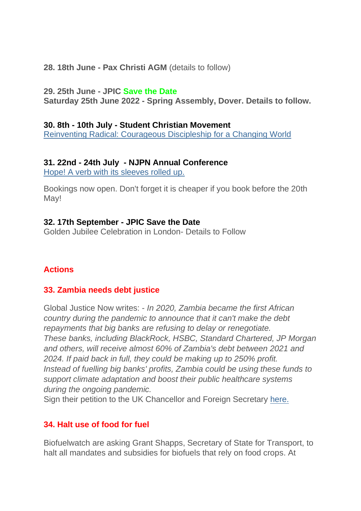**28. 18th June - Pax Christi AGM** (details to follow)

#### **29. 25th June - JPIC Save the Date**

**Saturday 25th June 2022 - Spring Assembly, Dover. Details to follow.**

### **30. 8th - 10th July - Student Christian Movement**

[Reinventing Radical: Courageous Discipleship for a Changing World](https://justice-and-peace.us7.list-manage.com/track/click?u=43dc262537b1536e87dc04eca&id=c360fc29fc&e=21ab98db78)

### **31. 22nd - 24th July - NJPN Annual Conference**

[Hope! A verb with its sleeves rolled up.](https://justice-and-peace.us7.list-manage.com/track/click?u=43dc262537b1536e87dc04eca&id=efdde0bd4c&e=21ab98db78)

Bookings now open. Don't forget it is cheaper if you book before the 20th May!

### **32. 17th September - JPIC Save the Date**

Golden Jubilee Celebration in London- Details to Follow

### **Actions**

### **33. Zambia needs debt justice**

Global Justice Now writes: - *In 2020, Zambia became the first African country during the pandemic to announce that it can't make the debt repayments that big banks are refusing to delay or renegotiate. These banks, including BlackRock, HSBC, Standard Chartered, JP Morgan and others, will receive almost 60% of Zambia's debt between 2021 and 2024. If paid back in full, they could be making up to 250% profit. Instead of fuelling big banks' profits, Zambia could be using these funds to support climate adaptation and boost their public healthcare systems during the ongoing pandemic.*

Sign their petition to the UK Chancellor and Foreign Secretary [here.](https://justice-and-peace.us7.list-manage.com/track/click?u=43dc262537b1536e87dc04eca&id=7af3b1d584&e=21ab98db78)

### **34. Halt use of food for fuel**

Biofuelwatch are asking Grant Shapps, Secretary of State for Transport, to halt all mandates and subsidies for biofuels that rely on food crops. At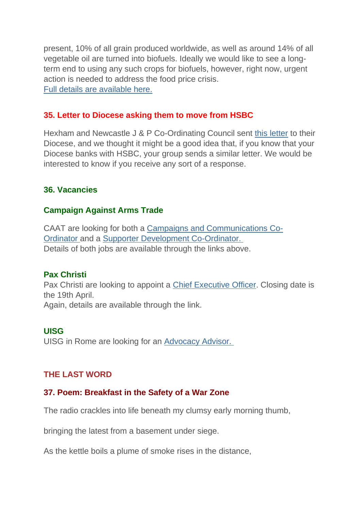present, 10% of all grain produced worldwide, as well as around 14% of all vegetable oil are turned into biofuels. Ideally we would like to see a longterm end to using any such crops for biofuels, however, right now, urgent action is needed to address the food price crisis. [Full details are available here.](https://justice-and-peace.us7.list-manage.com/track/click?u=43dc262537b1536e87dc04eca&id=9c3b66c6d8&e=21ab98db78)

### **35. Letter to Diocese asking them to move from HSBC**

Hexham and Newcastle J & P Co-Ordinating Council sent [this letter](https://justice-and-peace.us7.list-manage.com/track/click?u=43dc262537b1536e87dc04eca&id=ebd6c955bd&e=21ab98db78) to their Diocese, and we thought it might be a good idea that, if you know that your Diocese banks with HSBC, your group sends a similar letter. We would be interested to know if you receive any sort of a response.

### **36. Vacancies**

### **Campaign Against Arms Trade**

CAAT are looking for both a [Campaigns and Communications Co-](https://justice-and-peace.us7.list-manage.com/track/click?u=43dc262537b1536e87dc04eca&id=26a51bd76b&e=21ab98db78)[Ordinator](https://justice-and-peace.us7.list-manage.com/track/click?u=43dc262537b1536e87dc04eca&id=26a51bd76b&e=21ab98db78) and a [Supporter Development Co-Ordinator.](https://justice-and-peace.us7.list-manage.com/track/click?u=43dc262537b1536e87dc04eca&id=e7a5b4e62a&e=21ab98db78) Details of both jobs are available through the links above.

### **Pax Christi**

Pax Christi are looking to appoint a [Chief Executive Officer.](https://justice-and-peace.us7.list-manage.com/track/click?u=43dc262537b1536e87dc04eca&id=029c80afaa&e=21ab98db78) Closing date is the 19th April. Again, details are available through the link.

### **UISG**

UISG in Rome are looking for an [Advocacy Advisor.](https://justice-and-peace.us7.list-manage.com/track/click?u=43dc262537b1536e87dc04eca&id=cb50cbd3dd&e=21ab98db78)

### **THE LAST WORD**

### **37. Poem: Breakfast in the Safety of a War Zone**

The radio crackles into life beneath my clumsy early morning thumb,

bringing the latest from a basement under siege.

As the kettle boils a plume of smoke rises in the distance,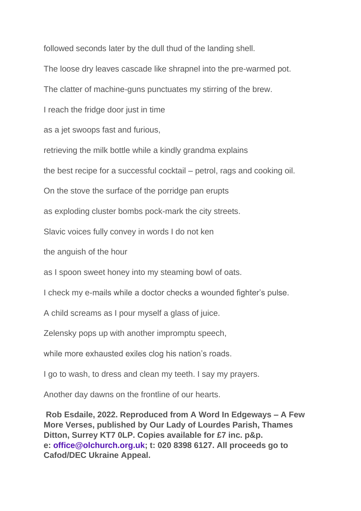followed seconds later by the dull thud of the landing shell.

The loose dry leaves cascade like shrapnel into the pre-warmed pot.

The clatter of machine-guns punctuates my stirring of the brew.

I reach the fridge door just in time

as a jet swoops fast and furious,

retrieving the milk bottle while a kindly grandma explains

the best recipe for a successful cocktail – petrol, rags and cooking oil.

On the stove the surface of the porridge pan erupts

as exploding cluster bombs pock-mark the city streets.

Slavic voices fully convey in words I do not ken

the anguish of the hour

as I spoon sweet honey into my steaming bowl of oats.

I check my e-mails while a doctor checks a wounded fighter's pulse.

A child screams as I pour myself a glass of juice.

Zelensky pops up with another impromptu speech,

while more exhausted exiles clog his nation's roads.

I go to wash, to dress and clean my teeth. I say my prayers.

Another day dawns on the frontline of our hearts.

**Rob Esdaile, 2022. Reproduced from A Word In Edgeways – A Few More Verses, published by Our Lady of Lourdes Parish, Thames Ditton, Surrey KT7 0LP. Copies available for £7 inc. p&p. e: office@olchurch.org.uk; t: 020 8398 6127. All proceeds go to Cafod/DEC Ukraine Appeal.**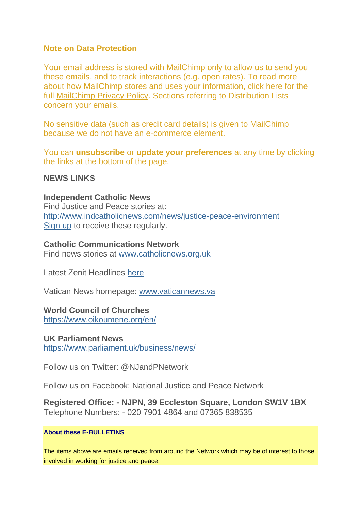### **Note on Data Protection**

Your email address is stored with MailChimp only to allow us to send you these emails, and to track interactions (e.g. open rates). To read more about how MailChimp stores and uses your information, click here for the full [MailChimp Privacy Policy.](https://justice-and-peace.us7.list-manage.com/track/click?u=43dc262537b1536e87dc04eca&id=b12093f926&e=21ab98db78) Sections referring to Distribution Lists concern your emails.

No sensitive data (such as credit card details) is given to MailChimp because we do not have an e-commerce element.

You can **unsubscribe** or **update your preferences** at any time by clicking the links at the bottom of the page.

#### **NEWS LINKS**

# **Independent Catholic News**

Find Justice and Peace stories at: [http://www.indcatholicnews.com/news/justice-peace-environment](https://justice-and-peace.us7.list-manage.com/track/click?u=43dc262537b1536e87dc04eca&id=571733aaa1&e=21ab98db78) [Sign up](https://justice-and-peace.us7.list-manage.com/track/click?u=43dc262537b1536e87dc04eca&id=cb98e33d01&e=21ab98db78) to receive these regularly.

#### **Catholic Communications Network**

Find news stories at [www.catholicnews.org.uk](https://justice-and-peace.us7.list-manage.com/track/click?u=43dc262537b1536e87dc04eca&id=0a18a7eaf3&e=21ab98db78)

Latest Zenit Headlines [here](https://justice-and-peace.us7.list-manage.com/track/click?u=43dc262537b1536e87dc04eca&id=e2a2103bc1&e=21ab98db78)

Vatican News homepage: [www.vaticannews.va](https://justice-and-peace.us7.list-manage.com/track/click?u=43dc262537b1536e87dc04eca&id=51e9914b9d&e=21ab98db78)

#### **World Council of Churches**

[https://www.oikoumene.org/en/](https://justice-and-peace.us7.list-manage.com/track/click?u=43dc262537b1536e87dc04eca&id=9f82e7711f&e=21ab98db78)

#### **UK Parliament News**

[https://www.parliament.uk/business/news/](https://justice-and-peace.us7.list-manage.com/track/click?u=43dc262537b1536e87dc04eca&id=fea2536572&e=21ab98db78)

Follow us on Twitter: @NJandPNetwork

Follow us on Facebook: National Justice and Peace Network

**Registered Office: - NJPN, 39 Eccleston Square, London SW1V 1BX** Telephone Numbers: - 020 7901 4864 and 07365 838535

#### **About these E-BULLETINS**

The items above are emails received from around the Network which may be of interest to those involved in working for justice and peace.